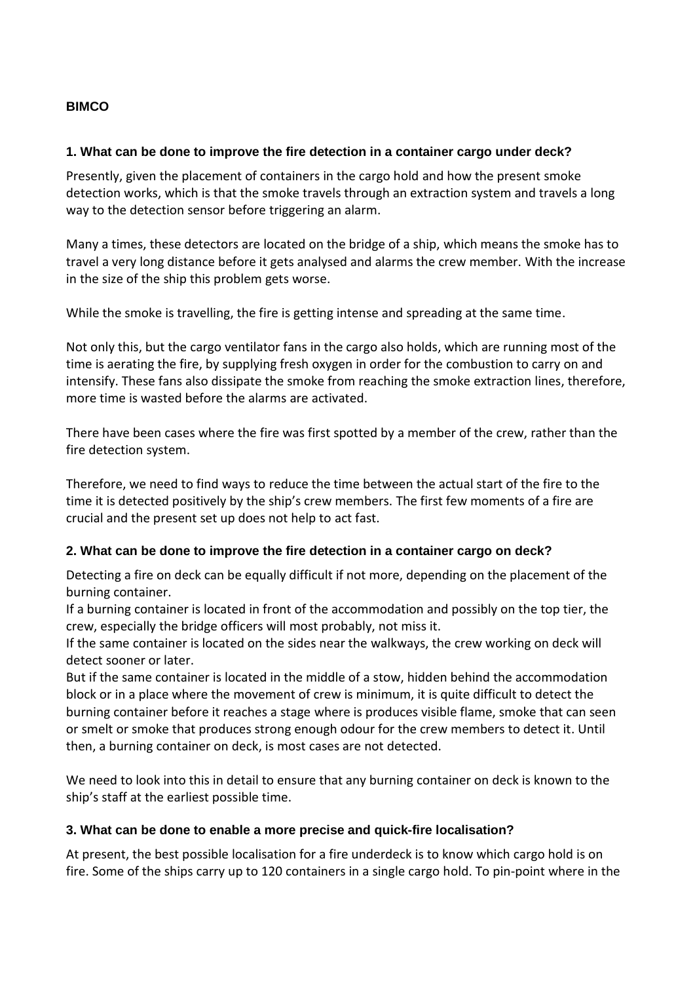## **BIMCO**

## **1. What can be done to improve the fire detection in a container cargo under deck?**

Presently, given the placement of containers in the cargo hold and how the present smoke detection works, which is that the smoke travels through an extraction system and travels a long way to the detection sensor before triggering an alarm.

Many a times, these detectors are located on the bridge of a ship, which means the smoke has to travel a very long distance before it gets analysed and alarms the crew member. With the increase in the size of the ship this problem gets worse.

While the smoke is travelling, the fire is getting intense and spreading at the same time.

Not only this, but the cargo ventilator fans in the cargo also holds, which are running most of the time is aerating the fire, by supplying fresh oxygen in order for the combustion to carry on and intensify. These fans also dissipate the smoke from reaching the smoke extraction lines, therefore, more time is wasted before the alarms are activated.

There have been cases where the fire was first spotted by a member of the crew, rather than the fire detection system.

Therefore, we need to find ways to reduce the time between the actual start of the fire to the time it is detected positively by the ship's crew members. The first few moments of a fire are crucial and the present set up does not help to act fast.

## **2. What can be done to improve the fire detection in a container cargo on deck?**

Detecting a fire on deck can be equally difficult if not more, depending on the placement of the burning container.

If a burning container is located in front of the accommodation and possibly on the top tier, the crew, especially the bridge officers will most probably, not miss it.

If the same container is located on the sides near the walkways, the crew working on deck will detect sooner or later.

But if the same container is located in the middle of a stow, hidden behind the accommodation block or in a place where the movement of crew is minimum, it is quite difficult to detect the burning container before it reaches a stage where is produces visible flame, smoke that can seen or smelt or smoke that produces strong enough odour for the crew members to detect it. Until then, a burning container on deck, is most cases are not detected.

We need to look into this in detail to ensure that any burning container on deck is known to the ship's staff at the earliest possible time.

## **3. What can be done to enable a more precise and quick-fire localisation?**

At present, the best possible localisation for a fire underdeck is to know which cargo hold is on fire. Some of the ships carry up to 120 containers in a single cargo hold. To pin-point where in the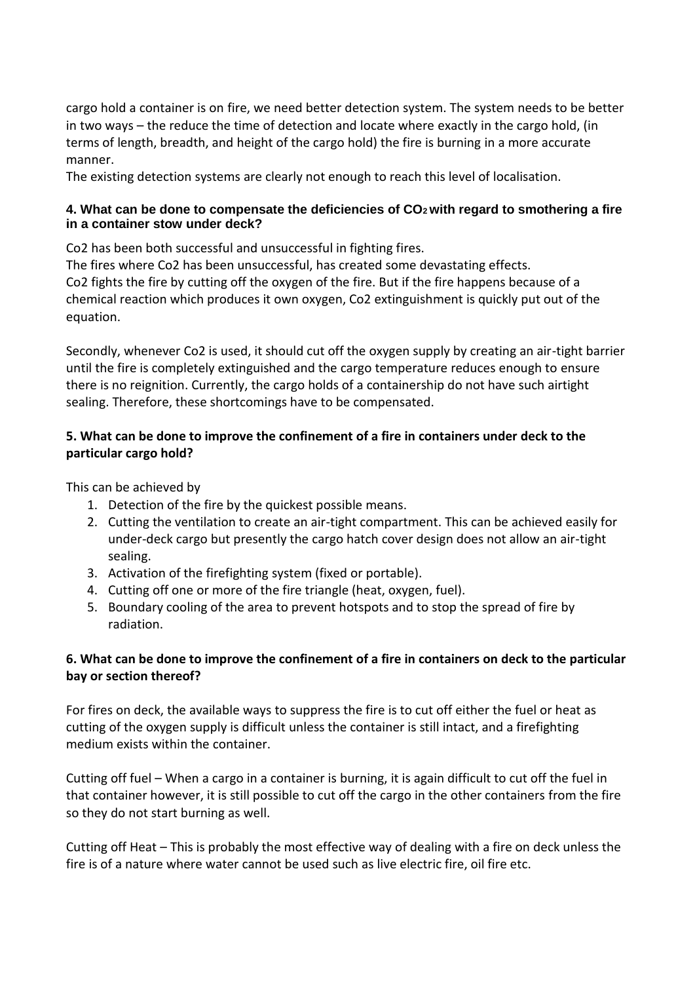cargo hold a container is on fire, we need better detection system. The system needs to be better in two ways – the reduce the time of detection and locate where exactly in the cargo hold, (in terms of length, breadth, and height of the cargo hold) the fire is burning in a more accurate manner.

The existing detection systems are clearly not enough to reach this level of localisation.

## **4. What can be done to compensate the deficiencies of CO2 with regard to smothering a fire in a container stow under deck?**

Co2 has been both successful and unsuccessful in fighting fires.

The fires where Co2 has been unsuccessful, has created some devastating effects. Co2 fights the fire by cutting off the oxygen of the fire. But if the fire happens because of a chemical reaction which produces it own oxygen, Co2 extinguishment is quickly put out of the equation.

Secondly, whenever Co2 is used, it should cut off the oxygen supply by creating an air-tight barrier until the fire is completely extinguished and the cargo temperature reduces enough to ensure there is no reignition. Currently, the cargo holds of a containership do not have such airtight sealing. Therefore, these shortcomings have to be compensated.

# **5. What can be done to improve the confinement of a fire in containers under deck to the particular cargo hold?**

This can be achieved by

- 1. Detection of the fire by the quickest possible means.
- 2. Cutting the ventilation to create an air-tight compartment. This can be achieved easily for under-deck cargo but presently the cargo hatch cover design does not allow an air-tight sealing.
- 3. Activation of the firefighting system (fixed or portable).
- 4. Cutting off one or more of the fire triangle (heat, oxygen, fuel).
- 5. Boundary cooling of the area to prevent hotspots and to stop the spread of fire by radiation.

# **6. What can be done to improve the confinement of a fire in containers on deck to the particular bay or section thereof?**

For fires on deck, the available ways to suppress the fire is to cut off either the fuel or heat as cutting of the oxygen supply is difficult unless the container is still intact, and a firefighting medium exists within the container.

Cutting off fuel – When a cargo in a container is burning, it is again difficult to cut off the fuel in that container however, it is still possible to cut off the cargo in the other containers from the fire so they do not start burning as well.

Cutting off Heat – This is probably the most effective way of dealing with a fire on deck unless the fire is of a nature where water cannot be used such as live electric fire, oil fire etc.